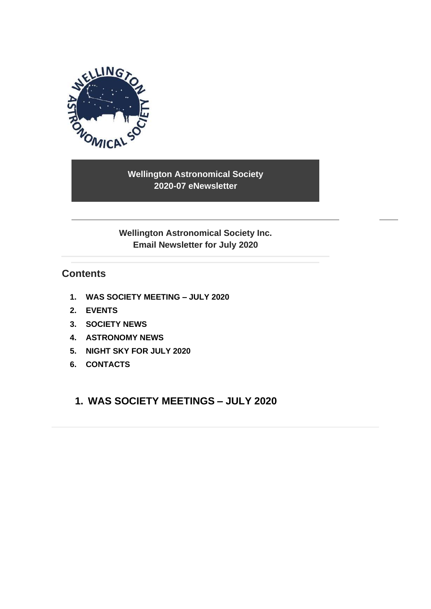

**Wellington Astronomical Society 2020-07 eNewsletter**

**Wellington Astronomical Society Inc. Email Newsletter for July 2020**

## **Contents**

- **1. [WAS SOCIETY MEETING –](#page-0-0) JULY 2020**
- **2. [EVENTS](#page-2-0)**
- **3. SOCIETY NEWS**
- **4. [ASTRONOMY NEWS](#page-5-0)**
- **5. [NIGHT SKY FOR](#page-8-0) JULY 2020**
- <span id="page-0-0"></span>**6. [CONTACTS](#page-9-0)**

## **1. WAS SOCIETY MEETINGS – JULY 2020**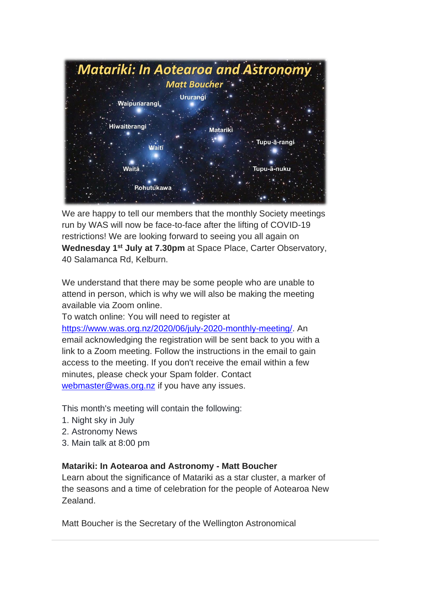

We are happy to tell our members that the monthly Society meetings run by WAS will now be face-to-face after the lifting of COVID-19 restrictions! We are looking forward to seeing you all again on **Wednesday 1st July at 7.30pm** at Space Place, Carter Observatory, 40 Salamanca Rd, Kelburn.

We understand that there may be some people who are unable to attend in person, which is why we will also be making the meeting available via Zoom online.

To watch online: You will need to register at [https://www.was.org.nz/2020/06/july-2020-monthly-meeting/.](https://www.was.org.nz/2020/06/july-2020-monthly-meeting/?fbclid=IwAR18dEblAqMcK_TxZDO4Pe8UUt8z2ID_QkIBUhBRqwAQPqxUxjvGBqjNc-Q) An email acknowledging the registration will be sent back to you with a link to a Zoom meeting. Follow the instructions in the email to gain access to the meeting. If you don't receive the email within a few minutes, please check your Spam folder. Contact [webmaster@was.org.nz](mailto:webmaster@was.org.nz) if you have any issues.

This month's meeting will contain the following:

- 1. Night sky in July
- 2. Astronomy News
- 3. Main talk at 8:00 pm

### **Matariki: In Aotearoa and Astronomy - Matt Boucher**

Learn about the significance of Matariki as a star cluster, a marker of the seasons and a time of celebration for the people of Aotearoa New Zealand.

Matt Boucher is the Secretary of the Wellington Astronomical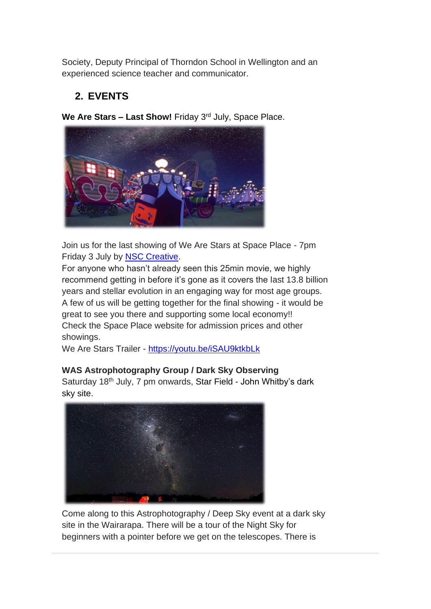Society, Deputy Principal of Thorndon School in Wellington and an experienced science teacher and communicator.

# <span id="page-2-0"></span>**2. EVENTS**

**We Are Stars – Last Show!** Friday 3rd July, Space Place.



Join us for the last showing of We Are Stars at Space Place - 7pm Friday 3 July by [NSC Creative.](https://www.facebook.com/NSCcreative/?__tn__=K-R&eid=ARAeir2VqEBcV97cAwoP8RJy3m_tsBcUun2i3Nb16TbACPkJu1HsDQXkA4o74DkdbkCpanLWGB96lbzB&fref=mentions&__xts__%5B0%5D=68.ARBCNhgAhFDv9Gvh4LWM0-9Y4xIQQYCwyip4d3tDmejwZgcXUGWasvlLOSJCfBuOIRibcu83N8OUJCDS78lFTYYVk-KSexAk9T2xLVON7PEltMoPDy3C8soLqvP63rKVs6UEnkc_QCWvcqlCkoDX6ubm6mrkixOUvVjX1KhF1xH8QTLenA0e5V7YgVcnFbb97YPFRL4mfbCG-QYJ5lwjMyT3FfCudPsfvtu96w4KJwe6cAU_LLBEG2sMkJ3UeX2Bnv2DV4S2_n0RP9u1ROQi4kWlea2CYvXmyiMXb9vquolmTQPjQOsWF91NtGAMDGzV5m3r-1E5lnFEOHvh963mUxxQgRX0)

For anyone who hasn't already seen this 25min movie, we highly recommend getting in before it's gone as it covers the last 13.8 billion years and stellar evolution in an engaging way for most age groups. A few of us will be getting together for the final showing - it would be great to see you there and supporting some local economy!! Check the Space Place website for admission prices and other showings.

We Are Stars Trailer - [https://youtu.be/iSAU9ktkbLk](https://youtu.be/iSAU9ktkbLk?fbclid=IwAR3wb_6fINMf4ECBagImnc-eHBN2O7948QogWte_AUeSxTJK73nuShdmuUQ)

## **WAS Astrophotography Group / Dark Sky Observing**

Saturday 18<sup>th</sup> July, 7 pm onwards, Star Field - John Whitby's dark sky site.



Come along to this Astrophotography / Deep Sky event at a dark sky site in the Wairarapa. There will be a tour of the Night Sky for beginners with a pointer before we get on the telescopes. There is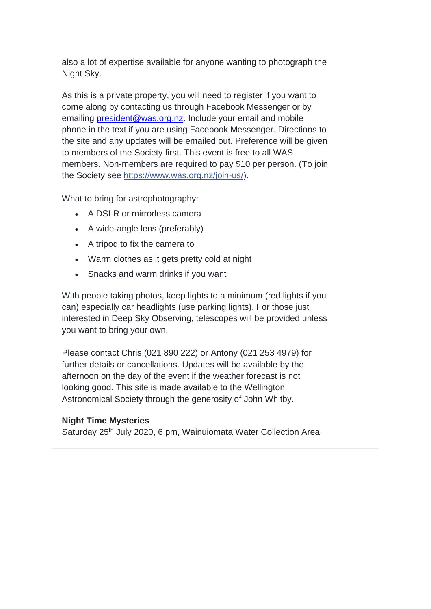also a lot of expertise available for anyone wanting to photograph the Night Sky.

As this is a private property, you will need to register if you want to come along by contacting us through Facebook Messenger or by emailing [president@was.org.nz.](mailto:president@was.org.nz) Include your email and mobile phone in the text if you are using Facebook Messenger. Directions to the site and any updates will be emailed out. Preference will be given to members of the Society first. This event is free to all WAS members. Non-members are required to pay \$10 per person. (To join the Society see [https://www.was.org.nz/join-us/\)](https://www.was.org.nz/join-us/?fbclid=IwAR259HJp3obvJriRaZ9gU2RwrDIn5Atwjb_oel1AhmKxBhgeN4O_8oampZg).

What to bring for astrophotography:

- A DSLR or mirrorless camera
- A wide-angle lens (preferably)
- A tripod to fix the camera to
- Warm clothes as it gets pretty cold at night
- Snacks and warm drinks if you want

With people taking photos, keep lights to a minimum (red lights if you can) especially car headlights (use parking lights). For those just interested in Deep Sky Observing, telescopes will be provided unless you want to bring your own.

Please contact Chris (021 890 222) or Antony (021 253 4979) for further details or cancellations. Updates will be available by the afternoon on the day of the event if the weather forecast is not looking good. This site is made available to the Wellington Astronomical Society through the generosity of John Whitby.

#### **Night Time Mysteries**

Saturday 25<sup>th</sup> July 2020, 6 pm, Wainuiomata Water Collection Area.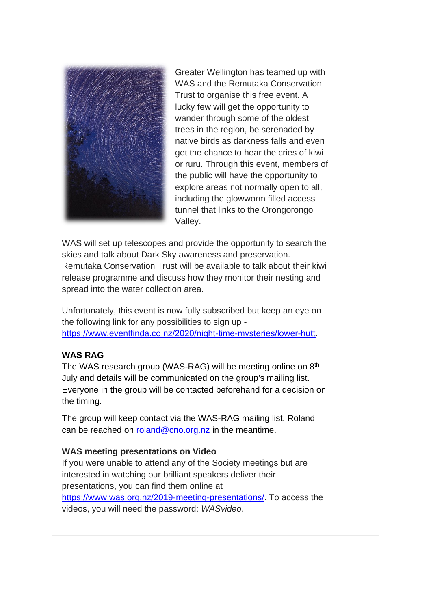

Greater Wellington has teamed up with WAS and the Remutaka Conservation Trust to organise this free event. A lucky few will get the opportunity to wander through some of the oldest trees in the region, be serenaded by native birds as darkness falls and even get the chance to hear the cries of kiwi or ruru. Through this event, members of the public will have the opportunity to explore areas not normally open to all, including the glowworm filled access tunnel that links to the Orongorongo Valley.

WAS will set up telescopes and provide the opportunity to search the skies and talk about Dark Sky awareness and preservation. Remutaka Conservation Trust will be available to talk about their kiwi release programme and discuss how they monitor their nesting and spread into the water collection area.

Unfortunately, this event is now fully subscribed but keep an eye on the following link for any possibilities to sign up [https://www.eventfinda.co.nz/2020/night-time-mysteries/lower-hutt.](https://www.eventfinda.co.nz/2020/night-time-mysteries/lower-hutt)

### **WAS RAG**

The WAS research group (WAS-RAG) will be meeting online on 8<sup>th</sup> July and details will be communicated on the group's mailing list. Everyone in the group will be contacted beforehand for a decision on the timing.

The group will keep contact via the WAS-RAG mailing list. Roland can be reached on [roland@cno.org.nz](mailto:roland@cno.org.nz) in the meantime.

#### **WAS meeting presentations on Video**

If you were unable to attend any of the Society meetings but are interested in watching our brilliant speakers deliver their presentations, you can find them online at [https://www.was.org.nz/2019-meeting-presentations/.](https://www.was.org.nz/2019-meeting-presentations/) To access the videos, you will need the password: *WASvideo*.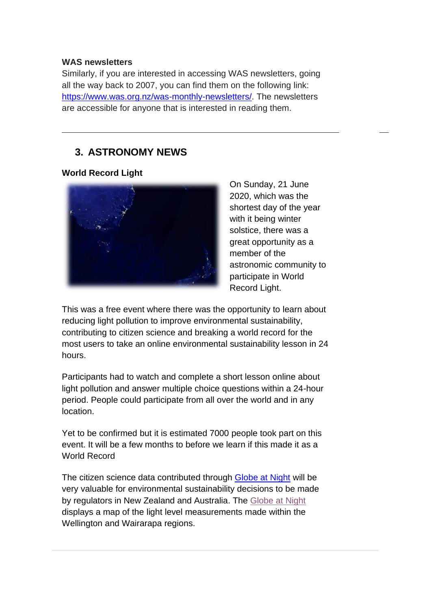#### **WAS newsletters**

Similarly, if you are interested in accessing WAS newsletters, going all the way back to 2007, you can find them on the following link: [https://www.was.org.nz/was-monthly-newsletters/.](https://www.was.org.nz/was-monthly-newsletters/) The newsletters are accessible for anyone that is interested in reading them.

## <span id="page-5-0"></span>**3. ASTRONOMY NEWS**

#### **World Record Light**



On Sunday, 21 June 2020, which was the shortest day of the year with it being winter solstice, there was a great opportunity as a member of the astronomic community to participate in World Record Light.

This was a free event where there was the opportunity to learn about reducing light pollution to improve environmental sustainability, contributing to citizen science and breaking a world record for the most users to take an online environmental sustainability lesson in 24 hours.

Participants had to watch and complete a short lesson online about light pollution and answer multiple choice questions within a 24-hour period. People could participate from all over the world and in any location.

Yet to be confirmed but it is estimated 7000 people took part on this event. It will be a few months to before we learn if this made it as a World Record

The citizen science data contributed through [Globe at Night](https://www.globeatnight.org/) will be very valuable for environmental sustainability decisions to be made by regulators in New Zealand and Australia. The [Globe at Night](https://www.globeatnight.org/) displays a map of the light level measurements made within the Wellington and Wairarapa regions.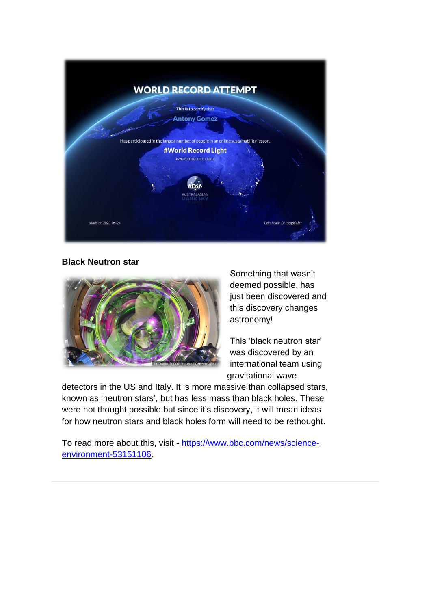

**Black Neutron star**



Something that wasn't deemed possible, has just been discovered and this discovery changes astronomy!

This 'black neutron star' was discovered by an international team using gravitational wave

detectors in the US and Italy. It is more massive than collapsed stars, known as 'neutron stars', but has less mass than black holes. These were not thought possible but since it's discovery, it will mean ideas for how neutron stars and black holes form will need to be rethought.

To read more about this, visit - [https://www.bbc.com/news/science](https://www.bbc.com/news/science-environment-53151106)[environment-53151106.](https://www.bbc.com/news/science-environment-53151106)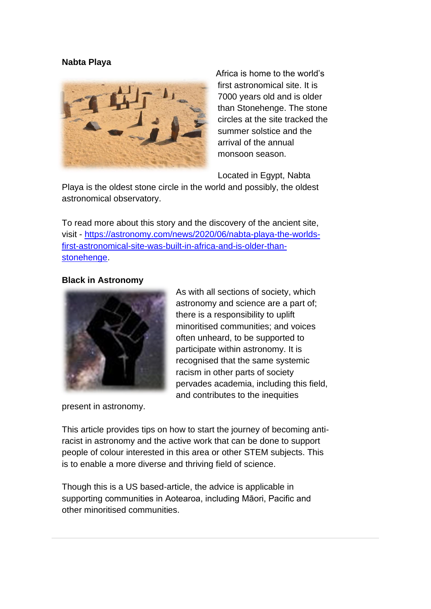#### **Nabta Playa**



Africa is home to the world's first astronomical site. It is 7000 years old and is older than Stonehenge. The stone circles at the site tracked the summer solstice and the arrival of the annual monsoon season.

Located in Egypt, Nabta

Playa is the oldest stone circle in the world and possibly, the oldest astronomical observatory.

To read more about this story and the discovery of the ancient site, visit - [https://astronomy.com/news/2020/06/nabta-playa-the-worlds](https://astronomy.com/news/2020/06/nabta-playa-the-worlds-first-astronomical-site-was-built-in-africa-and-is-older-than-stonehenge)[first-astronomical-site-was-built-in-africa-and-is-older-than](https://astronomy.com/news/2020/06/nabta-playa-the-worlds-first-astronomical-site-was-built-in-africa-and-is-older-than-stonehenge)[stonehenge.](https://astronomy.com/news/2020/06/nabta-playa-the-worlds-first-astronomical-site-was-built-in-africa-and-is-older-than-stonehenge)

#### **Black in Astronomy**



As with all sections of society, which astronomy and science are a part of; there is a responsibility to uplift minoritised communities; and voices often unheard, to be supported to participate within astronomy. It is recognised that the same systemic racism in other parts of society pervades academia, including this field, and contributes to the inequities

present in astronomy.

This article provides tips on how to start the journey of becoming antiracist in astronomy and the active work that can be done to support people of colour interested in this area or other STEM subjects. This is to enable a more diverse and thriving field of science.

Though this is a US based-article, the advice is applicable in supporting communities in Aotearoa, including Māori, Pacific and other minoritised communities.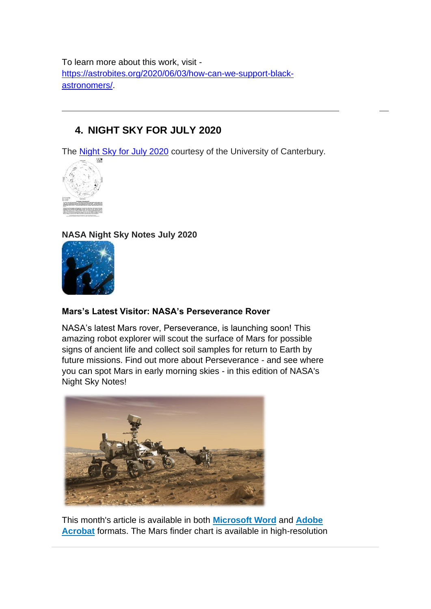To learn more about this work, visit [https://astrobites.org/2020/06/03/how-can-we-support-black](https://astrobites.org/2020/06/03/how-can-we-support-black-astronomers/)[astronomers/.](https://astrobites.org/2020/06/03/how-can-we-support-black-astronomers/)

# <span id="page-8-0"></span>**4. NIGHT SKY FOR JULY 2020**

The [Night Sky for July 2020](https://drive.google.com/file/d/144ygBmY3iT8VOFd7vBuXTcATmTjeOy0c/view) courtesy of the University of Canterbury.



**NASA Night Sky Notes July 2020**



### **Mars's Latest Visitor: NASA's Perseverance Rover**

NASA's latest Mars rover, Perseverance, is launching soon! This amazing robot explorer will scout the surface of Mars for possible signs of ancient life and collect soil samples for return to Earth by future missions. Find out more about Perseverance - and see where you can spot Mars in early morning skies - in this edition of NASA's Night Sky Notes!



This month's article is available in both **[Microsoft Word](http://r20.rs6.net/tn.jsp?f=001EPbSEREsJezHdRNzsIp4c2KS9Vu5DwWW-qvBojxlJNEPeV7cjL8SGsbTXeEFc8uZI3RCmmNACA5H_n6xRDOIOk7rwbR_CAq-8r_Y76Um2_xTWMexdCDJ2hsE1gq5hYF2vyBh0tby9_UPyN-4sOsyehM6Rk9_NQ5DYFHt9OR1KKfF1wtxiz4q_PlR6iNr3kgG3f7Waapw-uc=&c=mcV5WrcZEIAnwUgf6zOv__scEagMp4cQm4HwCyelVrzQZWVseXgRwQ==&ch=m0A0Bke2z2xiqImymjm9qv3tcuum_Q7HdryTSOxDjw52ZrlfdKe9ww==)** and **[Adobe](http://r20.rs6.net/tn.jsp?f=001EPbSEREsJezHdRNzsIp4c2KS9Vu5DwWW-qvBojxlJNEPeV7cjL8SGsbTXeEFc8uZAmt1PXHv0v8tW6bZg4zJIFui60N2ONd9ZFtWWeIrXaCvdKcv2RVtUSsqEY5Gdlh6nSunAzJ-3hzdYL8Px1lEu3F6po4Jz4Pgdrw3P3X-56-_Ent3Qmu2my6hyCTEqZ3j&c=mcV5WrcZEIAnwUgf6zOv__scEagMp4cQm4HwCyelVrzQZWVseXgRwQ==&ch=m0A0Bke2z2xiqImymjm9qv3tcuum_Q7HdryTSOxDjw52ZrlfdKe9ww==)  [Acrobat](http://r20.rs6.net/tn.jsp?f=001EPbSEREsJezHdRNzsIp4c2KS9Vu5DwWW-qvBojxlJNEPeV7cjL8SGsbTXeEFc8uZAmt1PXHv0v8tW6bZg4zJIFui60N2ONd9ZFtWWeIrXaCvdKcv2RVtUSsqEY5Gdlh6nSunAzJ-3hzdYL8Px1lEu3F6po4Jz4Pgdrw3P3X-56-_Ent3Qmu2my6hyCTEqZ3j&c=mcV5WrcZEIAnwUgf6zOv__scEagMp4cQm4HwCyelVrzQZWVseXgRwQ==&ch=m0A0Bke2z2xiqImymjm9qv3tcuum_Q7HdryTSOxDjw52ZrlfdKe9ww==)** formats. The Mars finder chart is available in high-resolution